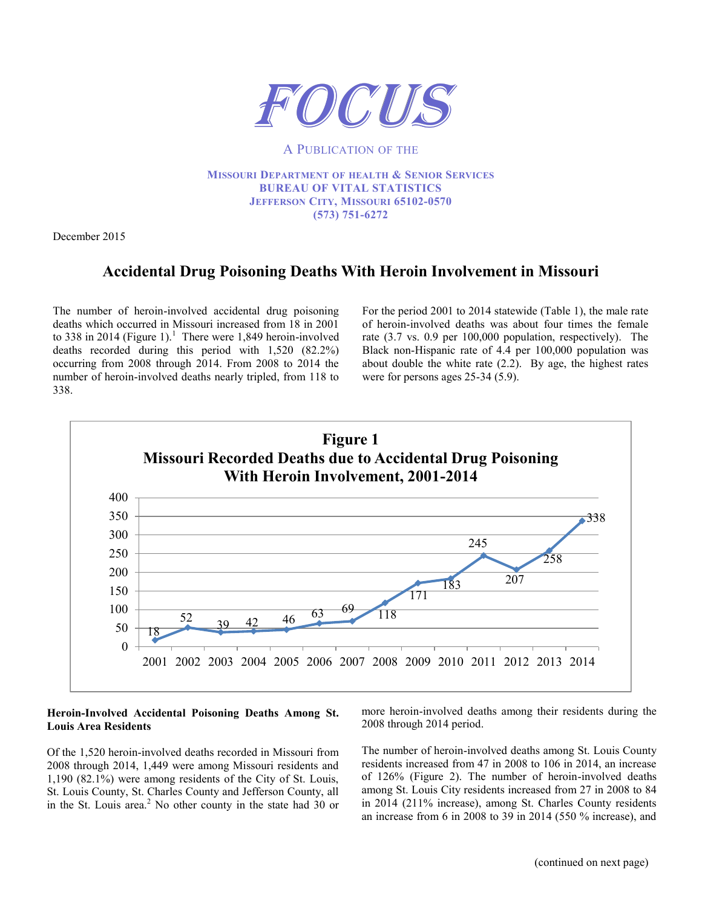

#### A PUBLICATION OF THE

**MISSOURI DEPARTMENT OF HEALTH & SENIOR SERVICES BUREAU OF VITAL STATISTICS JEFFERSON CITY, MISSOURI 65102-0570 (573) 751-6272**

December 2015

# **Accidental Drug Poisoning Deaths With Heroin Involvement in Missouri**

The number of heroin-involved accidental drug poisoning deaths which occurred in Missouri increased from 18 in 2001 to 338 in 2014 (Figure 1).<sup>1</sup> There were 1,849 heroin-involved deaths recorded during this period with 1,520 (82.2%) occurring from 2008 through 2014. From 2008 to 2014 the number of heroin-involved deaths nearly tripled, from 118 to 338.

For the period 2001 to 2014 statewide (Table 1), the male rate of heroin-involved deaths was about four times the female rate (3.7 vs. 0.9 per 100,000 population, respectively). The Black non-Hispanic rate of 4.4 per 100,000 population was about double the white rate (2.2). By age, the highest rates were for persons ages 25-34 (5.9).



#### **Heroin-Involved Accidental Poisoning Deaths Among St. Louis Area Residents**

Of the 1,520 heroin-involved deaths recorded in Missouri from 2008 through 2014, 1,449 were among Missouri residents and 1,190 (82.1%) were among residents of the City of St. Louis, St. Louis County, St. Charles County and Jefferson County, all in the St. Louis area.<sup>2</sup> No other county in the state had 30 or

more heroin-involved deaths among their residents during the 2008 through 2014 period.

The number of heroin-involved deaths among St. Louis County residents increased from 47 in 2008 to 106 in 2014, an increase of 126% (Figure 2). The number of heroin-involved deaths among St. Louis City residents increased from 27 in 2008 to 84 in 2014 (211% increase), among St. Charles County residents an increase from 6 in 2008 to 39 in 2014 (550 % increase), and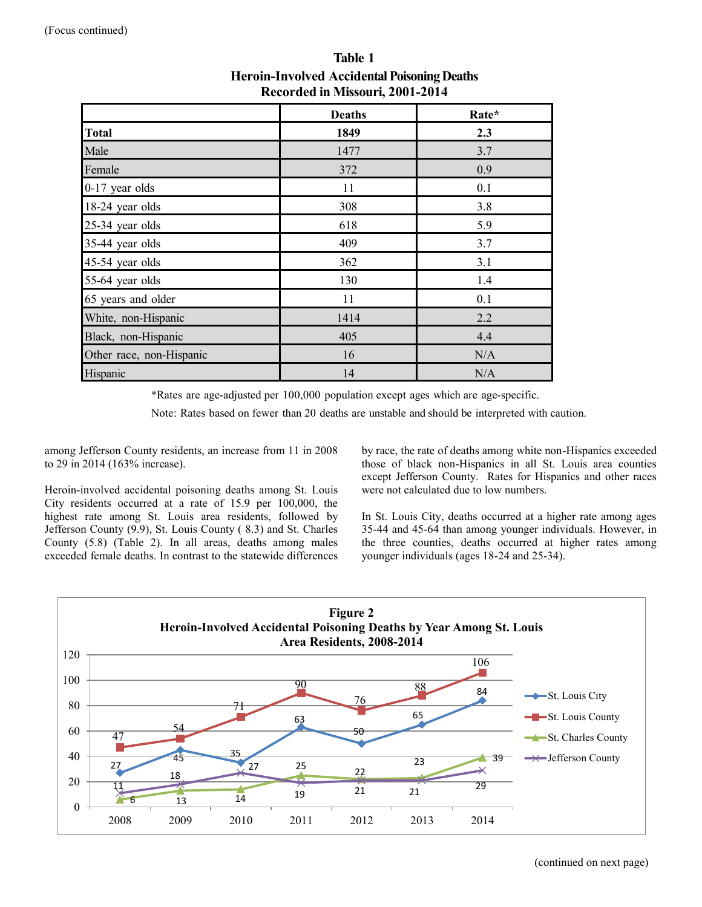|                          | <b>Deaths</b> | Rate* |  |  |
|--------------------------|---------------|-------|--|--|
| <b>Total</b>             | 1849          | 2.3   |  |  |
| Male                     | 1477          | 3.7   |  |  |
| Female                   | 372           | 0.9   |  |  |
| 0-17 year olds           | 11            | 0.1   |  |  |
| 18-24 year olds          | 308           | 3.8   |  |  |
| 25-34 year olds          | 618           | 5.9   |  |  |
| 35-44 year olds          | 409           | 3.7   |  |  |
| 45-54 year olds          | 362           | 3.1   |  |  |
| 55-64 year olds          | 130           | 1.4   |  |  |
| 65 years and older       | 11            | 0.1   |  |  |
| White, non-Hispanic      | 1414          | 2.2   |  |  |
| Black, non-Hispanic      | 405           | 4.4   |  |  |
| Other race, non-Hispanic | 16            | N/A   |  |  |
| Hispanic                 | 14            | N/A   |  |  |

**Table 1 Heroin-Involved Accidental Poisoning Deaths Recorded in Missouri, 2001-2014**

\*Rates are age-adjusted per 100,000 population except ages which are age-specific.

Note: Rates based on fewer than 20 deaths are unstable and should be interpreted with caution.

among Jefferson County residents, an increase from 11 in 2008 to 29 in 2014 (163% increase).

Heroin-involved accidental poisoning deaths among St. Louis City residents occurred at a rate of 15.9 per 100,000, the highest rate among St. Louis area residents, followed by Jefferson County (9.9), St. Louis County ( 8.3) and St. Charles County (5.8) (Table 2). In all areas, deaths among males exceeded female deaths. In contrast to the statewide differences

by race, the rate of deaths among white non-Hispanics exceeded those of black non-Hispanics in all St. Louis area counties except Jefferson County. Rates for Hispanics and other races were not calculated due to low numbers.

In St. Louis City, deaths occurred at a higher rate among ages 35-44 and 45-64 than among younger individuals. However, in the three counties, deaths occurred at higher rates among younger individuals (ages 18-24 and 25-34).

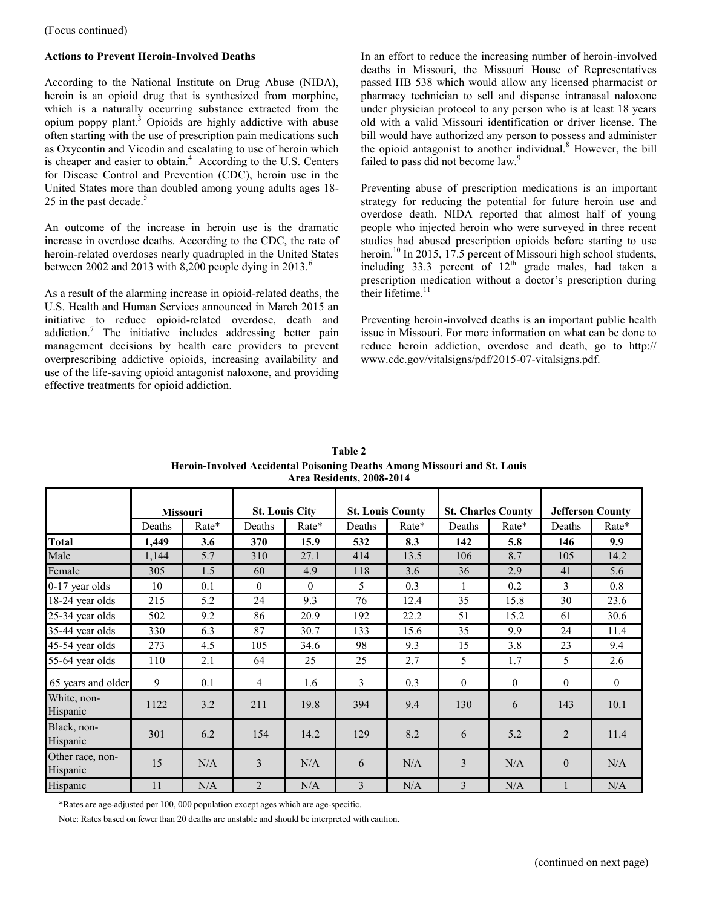(Focus continued)

### **Actions to Prevent Heroin-Involved Deaths**

According to the National Institute on Drug Abuse (NIDA), heroin is an opioid drug that is synthesized from morphine, which is a naturally occurring substance extracted from the opium poppy plant.<sup>3</sup> Opioids are highly addictive with abuse often starting with the use of prescription pain medications such as Oxycontin and Vicodin and escalating to use of heroin which is cheaper and easier to obtain.<sup>4</sup> According to the U.S. Centers for Disease Control and Prevention (CDC), heroin use in the United States more than doubled among young adults ages 18- 25 in the past decade. $5$ 

An outcome of the increase in heroin use is the dramatic increase in overdose deaths. According to the CDC, the rate of heroin-related overdoses nearly quadrupled in the United States between 2002 and 2013 with 8,200 people dying in 2013.<sup>6</sup>

As a result of the alarming increase in opioid-related deaths, the U.S. Health and Human Services announced in March 2015 an initiative to reduce opioid-related overdose, death and addiction.<sup>7</sup> The initiative includes addressing better pain management decisions by health care providers to prevent overprescribing addictive opioids, increasing availability and use of the life-saving opioid antagonist naloxone, and providing effective treatments for opioid addiction.

In an effort to reduce the increasing number of heroin-involved deaths in Missouri, the Missouri House of Representatives passed HB 538 which would allow any licensed pharmacist or pharmacy technician to sell and dispense intranasal naloxone under physician protocol to any person who is at least 18 years old with a valid Missouri identification or driver license. The bill would have authorized any person to possess and administer the opioid antagonist to another individual.<sup>8</sup> However, the bill failed to pass did not become law.<sup>9</sup>

Preventing abuse of prescription medications is an important strategy for reducing the potential for future heroin use and overdose death. NIDA reported that almost half of young people who injected heroin who were surveyed in three recent studies had abused prescription opioids before starting to use heroin.<sup>10</sup> In 2015, 17.5 percent of Missouri high school students, including 33.3 percent of  $12<sup>th</sup>$  grade males, had taken a prescription medication without a doctor's prescription during their lifetime. $11$ 

Preventing heroin-involved deaths is an important public health issue in Missouri. For more information on what can be done to reduce heroin addiction, overdose and death, go to http:// www.cdc.gov/vitalsigns/pdf/2015-07-vitalsigns.pdf.

|                              | <b>Missouri</b> |       | <b>St. Louis City</b> |          | <b>St. Louis County</b> |       | <b>St. Charles County</b> |                | <b>Jefferson County</b> |                |
|------------------------------|-----------------|-------|-----------------------|----------|-------------------------|-------|---------------------------|----------------|-------------------------|----------------|
|                              | Deaths          | Rate* | Deaths                | $Rate*$  | Deaths                  | Rate* | Deaths                    | Rate*          | Deaths                  | Rate*          |
| <b>Total</b>                 | 1,449           | 3.6   | 370                   | 15.9     | 532                     | 8.3   | 142                       | 5.8            | 146                     | 9.9            |
| Male                         | 1,144           | 5.7   | 310                   | 27.1     | 414                     | 13.5  | 106                       | 8.7            | 105                     | 14.2           |
| Female                       | 305             | 1.5   | 60                    | 4.9      | 118                     | 3.6   | 36                        | 2.9            | 41                      | 5.6            |
| 0-17 year olds               | 10              | 0.1   | $\theta$              | $\Omega$ | 5                       | 0.3   | 1                         | 0.2            | 3                       | 0.8            |
| 18-24 year olds              | 215             | 5.2   | 24                    | 9.3      | 76                      | 12.4  | 35                        | 15.8           | 30                      | 23.6           |
| 25-34 year olds              | 502             | 9.2   | 86                    | 20.9     | 192                     | 22.2  | 51                        | 15.2           | 61                      | 30.6           |
| 35-44 year olds              | 330             | 6.3   | 87                    | 30.7     | 133                     | 15.6  | 35                        | 9.9            | 24                      | 11.4           |
| 45-54 year olds              | 273             | 4.5   | 105                   | 34.6     | 98                      | 9.3   | 15                        | 3.8            | 23                      | 9.4            |
| 55-64 year olds              | 110             | 2.1   | 64                    | 25       | 25                      | 2.7   | 5                         | 1.7            | 5                       | 2.6            |
| 65 years and older           | 9               | 0.1   | $\overline{4}$        | 1.6      | 3                       | 0.3   | $\mathbf{0}$              | $\overline{0}$ | $\theta$                | $\overline{0}$ |
| White, non-<br>Hispanic      | 1122            | 3.2   | 211                   | 19.8     | 394                     | 9.4   | 130                       | 6              | 143                     | 10.1           |
| Black, non-<br>Hispanic      | 301             | 6.2   | 154                   | 14.2     | 129                     | 8.2   | 6                         | 5.2            | $\overline{2}$          | 11.4           |
| Other race, non-<br>Hispanic | 15              | N/A   | 3                     | N/A      | 6                       | N/A   | 3                         | N/A            | $\theta$                | N/A            |
| Hispanic                     | 11              | N/A   | $\overline{2}$        | N/A      | 3                       | N/A   | 3                         | N/A            |                         | N/A            |

**Table 2 Heroin-Involved Accidental Poisoning Deaths Among Missouri and St. Louis Area Residents, 2008-2014**

\*Rates are age-adjusted per 100, 000 population except ages which are age-specific.

Note: Rates based on fewer than 20 deaths are unstable and should be interpreted with caution.